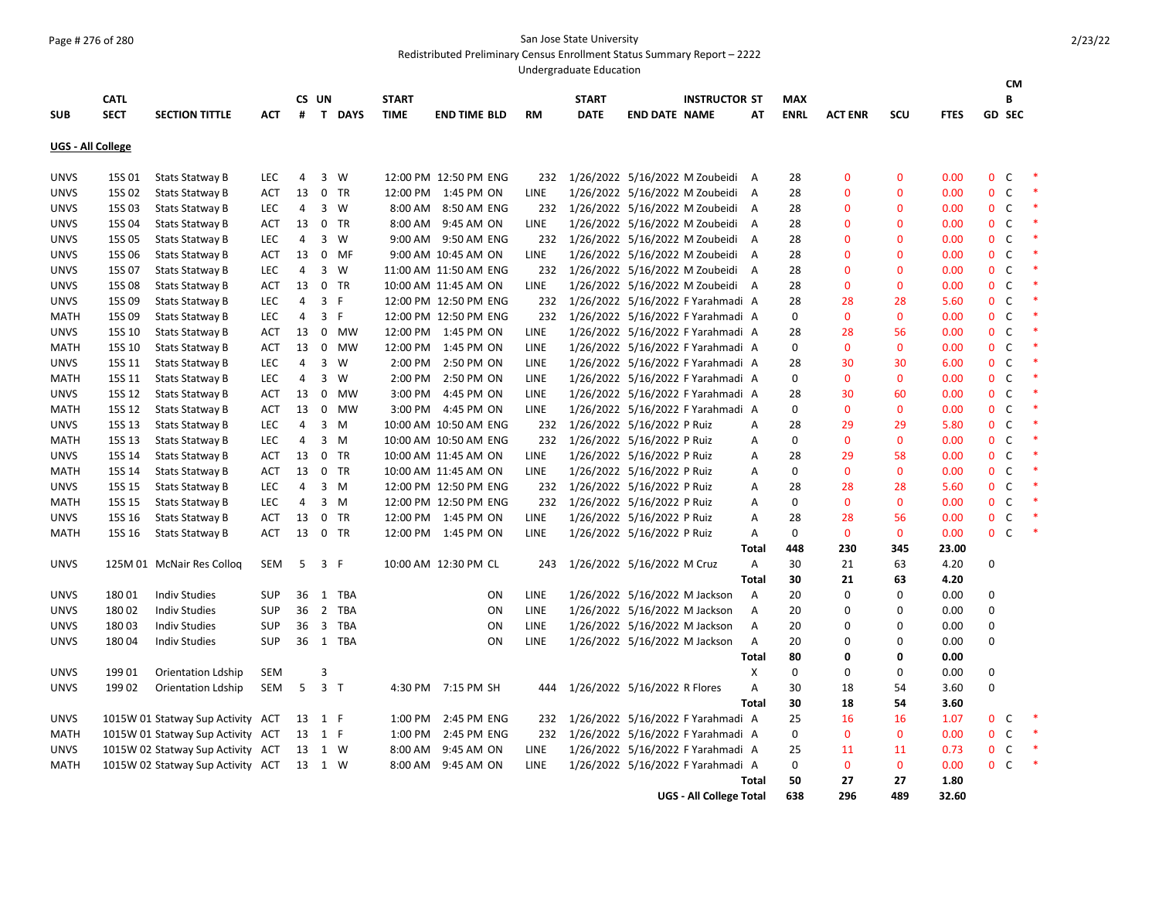## Page # 276 of 280 San Jose State University

Redistributed Preliminary Census Enrollment Status Summary Report – 2222

Undergraduate Education

|                   |             |                                   |            |                |                |                |              |                       |             |                                       |                               |                                   |              |             |                |              |             |              | <b>CM</b>      |         |
|-------------------|-------------|-----------------------------------|------------|----------------|----------------|----------------|--------------|-----------------------|-------------|---------------------------------------|-------------------------------|-----------------------------------|--------------|-------------|----------------|--------------|-------------|--------------|----------------|---------|
|                   | <b>CATL</b> |                                   |            | CS UN          |                |                | <b>START</b> |                       |             | <b>START</b>                          |                               | <b>INSTRUCTOR ST</b>              |              | <b>MAX</b>  |                |              |             |              | B              |         |
| <b>SUB</b>        | <b>SECT</b> | <b>SECTION TITTLE</b>             | АСТ        | #              |                | T DAYS         | <b>TIME</b>  | <b>END TIME BLD</b>   | <b>RM</b>   | <b>DATE</b>                           | <b>END DATE NAME</b>          |                                   | АΤ           | <b>ENRL</b> | <b>ACT ENR</b> | SCU          | <b>FTES</b> |              | <b>GD SEC</b>  |         |
| UGS - All College |             |                                   |            |                |                |                |              |                       |             |                                       |                               |                                   |              |             |                |              |             |              |                |         |
| <b>UNVS</b>       | 15S 01      | <b>Stats Statway B</b>            | <b>LEC</b> | 4              |                | 3 W            |              | 12:00 PM 12:50 PM ENG | 232         |                                       |                               | 1/26/2022 5/16/2022 M Zoubeidi A  |              | 28          | $\Omega$       | $\mathbf{0}$ | 0.00        |              | $0\quad C$     |         |
| <b>UNVS</b>       | 15S 02      | <b>Stats Statway B</b>            | ACT        | 13             |                | 0 TR           |              | 12:00 PM 1:45 PM ON   | LINE        |                                       |                               | 1/26/2022 5/16/2022 M Zoubeidi A  |              | 28          | $\Omega$       | 0            | 0.00        |              | 0 <sup>o</sup> | $\ast$  |
| <b>UNVS</b>       | 15S03       | <b>Stats Statway B</b>            | <b>LEC</b> | 4              | $\overline{3}$ | W              | 8:00 AM      | 8:50 AM ENG           |             | 232 1/26/2022 5/16/2022 M Zoubeidi A  |                               |                                   |              | 28          | $\mathbf{0}$   | $\mathbf{0}$ | 0.00        | $\mathbf{0}$ | $\mathsf{C}$   |         |
| <b>UNVS</b>       | 15S 04      | <b>Stats Statway B</b>            | ACT        | 13             |                | 0 TR           | 8:00 AM      | 9:45 AM ON            | <b>LINE</b> |                                       |                               | 1/26/2022 5/16/2022 M Zoubeidi A  |              | 28          | $\Omega$       | $\Omega$     | 0.00        | $\mathbf{0}$ | C <sub>1</sub> | $\ast$  |
| <b>UNVS</b>       | 15S 05      | Stats Statway B                   | <b>LEC</b> | 4              |                | 3 W            |              | 9:00 AM 9:50 AM ENG   |             | 232 1/26/2022 5/16/2022 M Zoubeidi A  |                               |                                   |              | 28          | $\Omega$       | 0            | 0.00        |              | $0\quad C$     | 米       |
| <b>UNVS</b>       | 15S 06      | Stats Statway B                   | <b>ACT</b> | 13             |                | 0 MF           |              | 9:00 AM 10:45 AM ON   | LINE        |                                       |                               | 1/26/2022 5/16/2022 M Zoubeidi A  |              | 28          | $\mathbf 0$    | $\mathbf{0}$ | 0.00        |              | $0\quad C$     | $\ast$  |
| <b>UNVS</b>       | 15S 07      | <b>Stats Statway B</b>            | LEC        | 4              | 3              | W              |              | 11:00 AM 11:50 AM ENG |             | 232 1/26/2022 5/16/2022 M Zoubeidi A  |                               |                                   |              | 28          | $\Omega$       | $\Omega$     | 0.00        | $\mathbf 0$  | C              | $\ast$  |
| <b>UNVS</b>       | 15S 08      | <b>Stats Statway B</b>            | ACT        | 13             | 0              | <b>TR</b>      |              | 10:00 AM 11:45 AM ON  | <b>LINE</b> |                                       |                               | 1/26/2022 5/16/2022 M Zoubeidi A  |              | 28          | $\mathbf 0$    | $\mathbf{0}$ | 0.00        | $\mathbf{0}$ | C              |         |
| <b>UNVS</b>       | 15S 09      | <b>Stats Statway B</b>            | LEC        | 4              | 3 <sup>7</sup> | $\mathsf{F}$   |              | 12:00 PM 12:50 PM ENG |             | 232 1/26/2022 5/16/2022 F Yarahmadi A |                               |                                   |              | 28          | 28             | 28           | 5.60        |              | 0 <sup>o</sup> |         |
| <b>MATH</b>       | 15S 09      | Stats Statway B                   | LEC        | 4              |                | 3 F            |              | 12:00 PM 12:50 PM ENG | 232         |                                       |                               | 1/26/2022 5/16/2022 F Yarahmadi A |              | $\mathbf 0$ | $\Omega$       | $\mathbf{0}$ | 0.00        | $\mathbf{0}$ | $\mathsf{C}$   |         |
| <b>UNVS</b>       | 15S 10      | <b>Stats Statway B</b>            | <b>ACT</b> | 13             |                | 0 MW           |              | 12:00 PM 1:45 PM ON   | LINE        |                                       |                               | 1/26/2022 5/16/2022 F Yarahmadi A |              | 28          | 28             | 56           | 0.00        |              | $0\quad C$     | 米       |
| <b>MATH</b>       | 15S 10      | <b>Stats Statway B</b>            | <b>ACT</b> | 13             | 0              | <b>MW</b>      | 12:00 PM     | 1:45 PM ON            | <b>LINE</b> |                                       |                               | 1/26/2022 5/16/2022 F Yarahmadi A |              | 0           | $\mathbf{0}$   | $\mathbf{0}$ | 0.00        | $\mathbf{0}$ | $\mathsf{C}$   |         |
| <b>UNVS</b>       | 15S 11      | <b>Stats Statway B</b>            | <b>LEC</b> | 4              | 3              | W              | 2:00 PM      | 2:50 PM ON            | LINE        |                                       |                               | 1/26/2022 5/16/2022 F Yarahmadi A |              | 28          | 30             | 30           | 6.00        | $\mathbf{0}$ | $\mathsf{C}$   | $\ast$  |
| MATH              | 15S 11      | <b>Stats Statway B</b>            | <b>LEC</b> | 4              | $\mathbf{3}$   | W              | 2:00 PM      | 2:50 PM ON            | LINE        |                                       |                               | 1/26/2022 5/16/2022 F Yarahmadi A |              | 0           | $\mathbf{0}$   | $\mathbf{0}$ | 0.00        |              | 0 <sup>o</sup> |         |
| <b>UNVS</b>       | 15S 12      | Stats Statway B                   | ACT        | 13             | $\mathbf 0$    | MW             | 3:00 PM      | 4:45 PM ON            | <b>LINE</b> |                                       |                               | 1/26/2022 5/16/2022 F Yarahmadi A |              | 28          | 30             | 60           | 0.00        | $\mathbf{0}$ | C              |         |
| <b>MATH</b>       | 15S 12      | Stats Statway B                   | <b>ACT</b> | 13             |                | 0 MW           |              | 3:00 PM 4:45 PM ON    | LINE        |                                       |                               | 1/26/2022 5/16/2022 F Yarahmadi A |              | $\mathbf 0$ | $\mathbf 0$    | $\mathbf{0}$ | 0.00        |              | 0 <sup>o</sup> |         |
| <b>UNVS</b>       | 15S 13      | Stats Statway B                   | LEC        | 4              | $\overline{3}$ | M              |              | 10:00 AM 10:50 AM ENG | 232         |                                       | 1/26/2022 5/16/2022 P Ruiz    |                                   | Α            | 28          | 29             | 29           | 5.80        | $\mathbf{0}$ | $\mathsf{C}$   | $\ast$  |
| <b>MATH</b>       | 15S 13      | <b>Stats Statway B</b>            | <b>LEC</b> | 4              | 3              | M              |              | 10:00 AM 10:50 AM ENG | 232         |                                       | 1/26/2022 5/16/2022 P Ruiz    |                                   | Α            | 0           | $\mathbf 0$    | $\mathbf{0}$ | 0.00        | $\mathbf{0}$ | $\mathsf{C}$   | $\star$ |
| <b>UNVS</b>       | 15S 14      | <b>Stats Statway B</b>            | <b>ACT</b> | 13             |                | 0 TR           |              | 10:00 AM 11:45 AM ON  | <b>LINE</b> |                                       | 1/26/2022 5/16/2022 P Ruiz    |                                   | Α            | 28          | 29             | 58           | 0.00        | $\mathbf{0}$ | $\mathsf{C}$   |         |
| <b>MATH</b>       | 15S 14      | Stats Statway B                   | <b>ACT</b> | 13             | 0              | <b>TR</b>      |              | 10:00 AM 11:45 AM ON  | LINE        |                                       | 1/26/2022 5/16/2022 P Ruiz    |                                   | Α            | $\mathbf 0$ | $\mathbf{0}$   | $\mathbf 0$  | 0.00        | $\mathbf 0$  | C              |         |
| <b>UNVS</b>       | 15S 15      | <b>Stats Statway B</b>            | <b>LEC</b> | $\overline{4}$ |                | 3 M            |              | 12:00 PM 12:50 PM ENG | 232         | 1/26/2022 5/16/2022 P Ruiz            |                               |                                   | Α            | 28          | 28             | 28           | 5.60        |              | 0 <sup>o</sup> |         |
| MATH              | 15S 15      | Stats Statway B                   | LEC        | 4              |                | $3 \, M$       |              | 12:00 PM 12:50 PM ENG | 232         |                                       | 1/26/2022 5/16/2022 P Ruiz    |                                   | Α            | $\mathbf 0$ | $\mathbf{0}$   | $\mathbf{0}$ | 0.00        | $\mathbf{0}$ | $\mathsf{C}$   | $\ast$  |
| <b>UNVS</b>       | 15S 16      | <b>Stats Statway B</b>            | <b>ACT</b> | 13             | 0              | TR             |              | 12:00 PM 1:45 PM ON   | LINE        |                                       | 1/26/2022 5/16/2022 P Ruiz    |                                   | Α            | 28          | 28             | 56           | 0.00        | $\mathbf{0}$ | $\mathsf{C}$   |         |
| <b>MATH</b>       | 15S 16      | Stats Statway B                   | <b>ACT</b> | 13             |                | 0 TR           |              | 12:00 PM 1:45 PM ON   | LINE        |                                       | 1/26/2022 5/16/2022 P Ruiz    |                                   | Α            | 0           | $\mathbf{0}$   | $\mathbf{0}$ | 0.00        |              | $0\quad C$     |         |
|                   |             |                                   |            |                |                |                |              |                       |             |                                       |                               |                                   | Total        | 448         | 230            | 345          | 23.00       |              |                |         |
| <b>UNVS</b>       |             | 125M 01 McNair Res Colloq         | SEM        | 5              |                | 3 F            |              | 10:00 AM 12:30 PM CL  | 243         |                                       | 1/26/2022 5/16/2022 M Cruz    |                                   | Α            | 30          | 21             | 63           | 4.20        | 0            |                |         |
|                   |             |                                   |            |                |                |                |              |                       |             |                                       |                               |                                   | Total        | 30          | 21             | 63           | 4.20        |              |                |         |
| <b>UNVS</b>       | 18001       | <b>Indiv Studies</b>              | <b>SUP</b> | 36             |                | 1 TBA          |              | <b>ON</b>             | <b>LINE</b> |                                       | 1/26/2022 5/16/2022 M Jackson |                                   | A            | 20          | $\Omega$       | 0            | 0.00        | 0            |                |         |
| <b>UNVS</b>       | 18002       | <b>Indiv Studies</b>              | <b>SUP</b> | 36             |                | 2 TBA          |              | ON                    | LINE        |                                       | 1/26/2022 5/16/2022 M Jackson |                                   | A            | 20          | $\Omega$       | 0            | 0.00        | 0            |                |         |
| <b>UNVS</b>       | 18003       | <b>Indiv Studies</b>              | <b>SUP</b> | 36             |                | 3 TBA          |              | ON                    | LINE        |                                       | 1/26/2022 5/16/2022 M Jackson |                                   | Α            | 20          | 0              | 0            | 0.00        | $\Omega$     |                |         |
| <b>UNVS</b>       | 18004       | <b>Indiv Studies</b>              | <b>SUP</b> |                |                | 36 1 TBA       |              | ON                    | <b>LINE</b> |                                       | 1/26/2022 5/16/2022 M Jackson |                                   | A            | 20          | 0              | $\Omega$     | 0.00        | $\Omega$     |                |         |
|                   |             |                                   |            |                |                |                |              |                       |             |                                       |                               |                                   | Total        | 80          | 0              | 0            | 0.00        |              |                |         |
| <b>UNVS</b>       | 19901       | <b>Orientation Ldship</b>         | SEM        |                | 3              |                |              |                       |             |                                       |                               |                                   | X            | 0           | 0              | 0            | 0.00        | 0            |                |         |
| <b>UNVS</b>       | 19902       | <b>Orientation Ldship</b>         | SEM        | 5              |                | 3 <sub>1</sub> |              | 4:30 PM 7:15 PM SH    | 444         |                                       | 1/26/2022 5/16/2022 R Flores  |                                   | Α            | 30          | 18             | 54           | 3.60        | $\Omega$     |                |         |
|                   |             |                                   |            |                |                |                |              |                       |             |                                       |                               |                                   | <b>Total</b> | 30          | 18             | 54           | 3.60        |              |                |         |
| <b>UNVS</b>       |             | 1015W 01 Statway Sup Activity ACT |            | 13             | 1 F            |                | 1:00 PM      | 2:45 PM ENG           | 232         |                                       |                               | 1/26/2022 5/16/2022 F Yarahmadi A |              | 25          | 16             | 16           | 1.07        |              | 0 <sup>o</sup> |         |
| <b>MATH</b>       |             | 1015W 01 Statway Sup Activity ACT |            | 13 1 F         |                |                | 1:00 PM      | 2:45 PM ENG           |             | 232 1/26/2022 5/16/2022 F Yarahmadi A |                               |                                   |              | $\Omega$    | $\Omega$       | $\mathbf{0}$ | 0.00        |              | $0\quad C$     | $\ast$  |
| <b>UNVS</b>       |             | 1015W 02 Statway Sup Activity ACT |            | 13             |                | 1 W            | 8:00 AM      | 9:45 AM ON            | LINE        |                                       |                               | 1/26/2022 5/16/2022 F Yarahmadi A |              | 25          | 11             | 11           | 0.73        | $\mathbf{0}$ | C              | 米       |
| <b>MATH</b>       |             | 1015W 02 Statway Sup Activity ACT |            | 13             | 1 W            |                | 8:00 AM      | 9:45 AM ON            | LINE        |                                       |                               | 1/26/2022 5/16/2022 F Yarahmadi A |              | 0           | $\mathbf{0}$   | $\mathbf{0}$ | 0.00        |              | $0\quad C$     | $\ast$  |
|                   |             |                                   |            |                |                |                |              |                       |             |                                       |                               |                                   | Total        | 50          | 27             | 27           | 1.80        |              |                |         |
|                   |             |                                   |            |                |                |                |              |                       |             |                                       |                               | <b>UGS - All College Total</b>    |              | 638         | 296            | 489          | 32.60       |              |                |         |